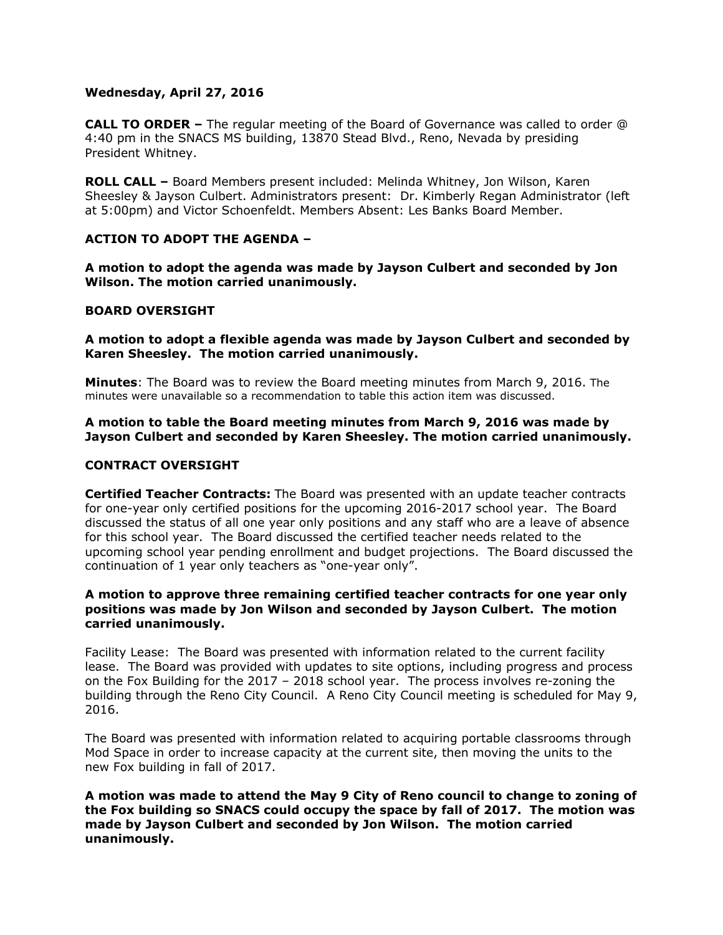# **Wednesday, April 27, 2016**

**CALL TO ORDER –** The regular meeting of the Board of Governance was called to order @ 4:40 pm in the SNACS MS building, 13870 Stead Blvd., Reno, Nevada by presiding President Whitney.

**ROLL CALL –** Board Members present included: Melinda Whitney, Jon Wilson, Karen Sheesley & Jayson Culbert. Administrators present: Dr. Kimberly Regan Administrator (left at 5:00pm) and Victor Schoenfeldt. Members Absent: Les Banks Board Member.

# **ACTION TO ADOPT THE AGENDA –**

**A motion to adopt the agenda was made by Jayson Culbert and seconded by Jon Wilson. The motion carried unanimously.** 

# **BOARD OVERSIGHT**

**A motion to adopt a flexible agenda was made by Jayson Culbert and seconded by Karen Sheesley. The motion carried unanimously.** 

**Minutes**: The Board was to review the Board meeting minutes from March 9, 2016. The minutes were unavailable so a recommendation to table this action item was discussed.

# **A motion to table the Board meeting minutes from March 9, 2016 was made by Jayson Culbert and seconded by Karen Sheesley. The motion carried unanimously.**

### **CONTRACT OVERSIGHT**

**Certified Teacher Contracts:** The Board was presented with an update teacher contracts for one-year only certified positions for the upcoming 2016-2017 school year. The Board discussed the status of all one year only positions and any staff who are a leave of absence for this school year. The Board discussed the certified teacher needs related to the upcoming school year pending enrollment and budget projections. The Board discussed the continuation of 1 year only teachers as "one-year only".

### **A motion to approve three remaining certified teacher contracts for one year only positions was made by Jon Wilson and seconded by Jayson Culbert. The motion carried unanimously.**

Facility Lease:The Board was presented with information related to the current facility lease. The Board was provided with updates to site options, including progress and process on the Fox Building for the 2017 – 2018 school year. The process involves re-zoning the building through the Reno City Council. A Reno City Council meeting is scheduled for May 9, 2016.

The Board was presented with information related to acquiring portable classrooms through Mod Space in order to increase capacity at the current site, then moving the units to the new Fox building in fall of 2017.

**A motion was made to attend the May 9 City of Reno council to change to zoning of the Fox building so SNACS could occupy the space by fall of 2017. The motion was made by Jayson Culbert and seconded by Jon Wilson. The motion carried unanimously.**